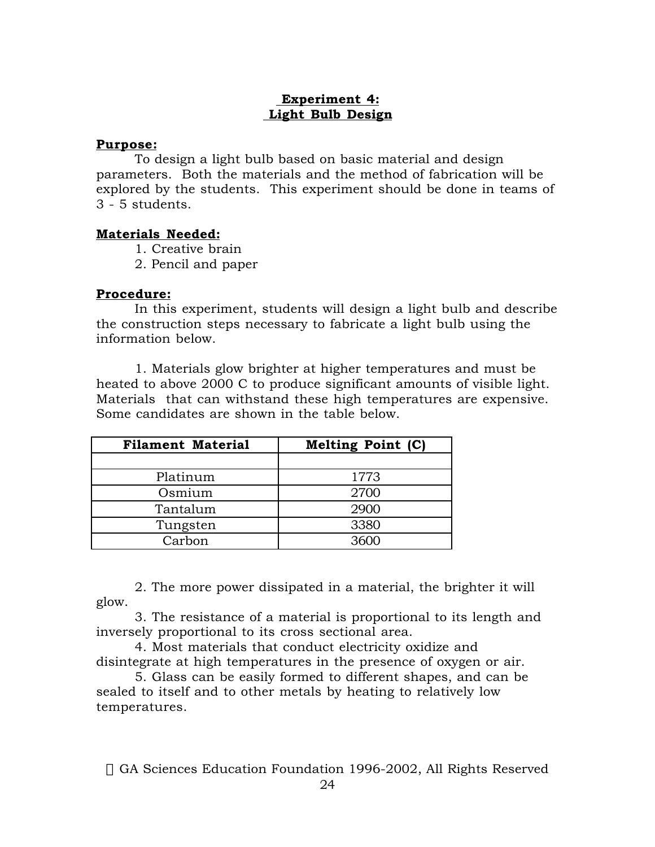# **Experiment 4: Light Bulb Design**

## **Purpose:**

To design a light bulb based on basic material and design parameters. Both the materials and the method of fabrication will be explored by the students. This experiment should be done in teams of 3 - 5 students.

#### **Materials Needed:**

1. Creative brain

2. Pencil and paper

#### **Procedure:**

In this experiment, students will design a light bulb and describe the construction steps necessary to fabricate a light bulb using the information below.

1. Materials glow brighter at higher temperatures and must be heated to above 2000 C to produce significant amounts of visible light. Materials that can withstand these high temperatures are expensive. Some candidates are shown in the table below.

| <b>Filament Material</b> | <b>Melting Point (C)</b> |
|--------------------------|--------------------------|
|                          |                          |
| Platinum                 | 1773                     |
| Osmium                   | 2700                     |
| Tantalum                 | 2900                     |
| Tungsten                 | 3380                     |
| Carbon                   |                          |

2. The more power dissipated in a material, the brighter it will glow.

3. The resistance of a material is proportional to its length and inversely proportional to its cross sectional area.

4. Most materials that conduct electricity oxidize and disintegrate at high temperatures in the presence of oxygen or air.

5. Glass can be easily formed to different shapes, and can be sealed to itself and to other metals by heating to relatively low temperatures.

© GA Sciences Education Foundation 1996-2002, All Rights Reserved